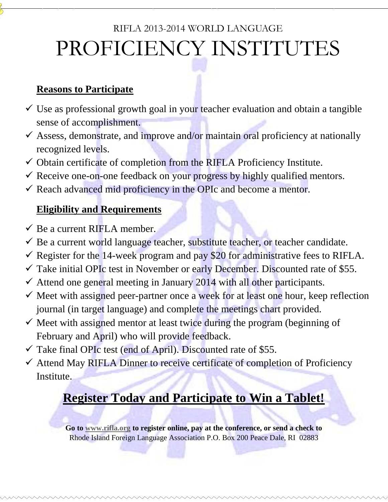# RIFLA 2013-2014 WORLD LANGUAGE PROFICIENCY INSTITUTES

#### **Reasons to Participate**

- $\checkmark$  Use as professional growth goal in your teacher evaluation and obtain a tangible sense of accomplishment.
- $\checkmark$  Assess, demonstrate, and improve and/or maintain oral proficiency at nationally recognized levels.
- $\checkmark$  Obtain certificate of completion from the RIFLA Proficiency Institute.
- $\checkmark$  Receive one-on-one feedback on your progress by highly qualified mentors.
- $\checkmark$  Reach advanced mid proficiency in the OPIc and become a mentor.

#### **Eligibility and Requirements**

- $\checkmark$  Be a current RIFLA member.
- $\checkmark$  Be a current world language teacher, substitute teacher, or teacher candidate.
- Register for the 14-week program and pay \$20 for administrative fees to RIFLA.
- $\checkmark$  Take initial OPIc test in November or early December. Discounted rate of \$55.
- $\checkmark$  Attend one general meeting in January 2014 with all other participants.
- $\checkmark$  Meet with assigned peer-partner once a week for at least one hour, keep reflection journal (in target language) and complete the meetings chart provided.
- $\checkmark$  Meet with assigned mentor at least twice during the program (beginning of February and April) who will provide feedback.
- $\checkmark$  Take final OPIc test (end of April). Discounted rate of \$55.
- $\checkmark$  Attend May RIFLA Dinner to receive certificate of completion of Proficiency Institute.

## **Register Today and Participate to Win a Tablet!**

**Go to [www.rifla.org](http://www.rifla.org/) to register online, pay at the conference, or send a check to** Rhode Island Foreign Language Association P.O. Box 200 Peace Dale, RI 02883